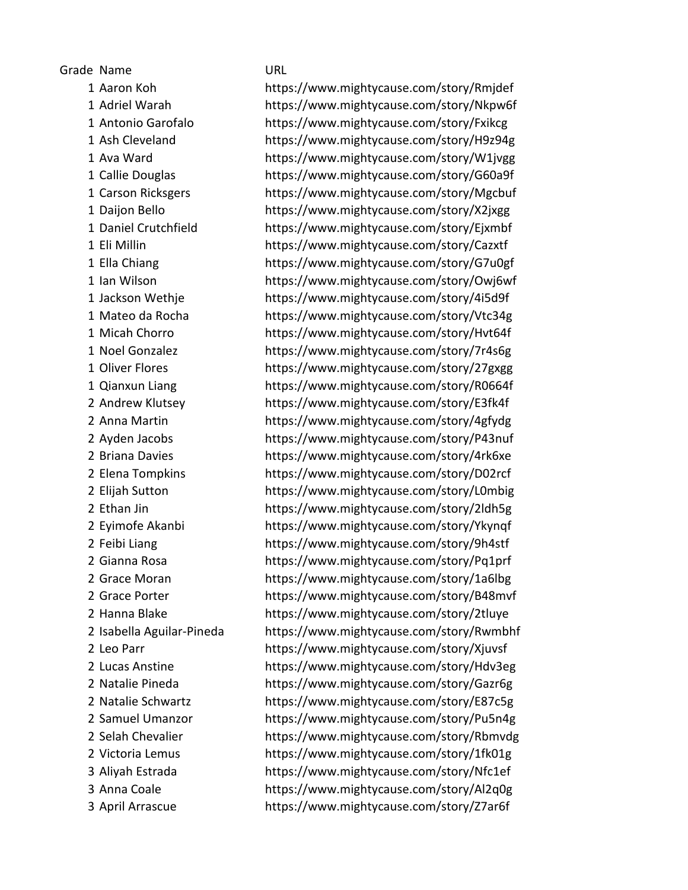Grade Name URL

 Aaron Koh https://www.mightycause.com/story/Rmjdef Adriel Warah https://www.mightycause.com/story/Nkpw6f Antonio Garofalo https://www.mightycause.com/story/Fxikcg Ash Cleveland https://www.mightycause.com/story/H9z94g Ava Ward https://www.mightycause.com/story/W1jvgg Callie Douglas https://www.mightycause.com/story/G60a9f Carson Ricksgers https://www.mightycause.com/story/Mgcbuf Daijon Bello https://www.mightycause.com/story/X2jxgg Daniel Crutchfield https://www.mightycause.com/story/Ejxmbf Eli Millin https://www.mightycause.com/story/Cazxtf Ella Chiang https://www.mightycause.com/story/G7u0gf Ian Wilson https://www.mightycause.com/story/Owj6wf Jackson Wethje https://www.mightycause.com/story/4i5d9f Mateo da Rocha https://www.mightycause.com/story/Vtc34g Micah Chorro https://www.mightycause.com/story/Hvt64f Noel Gonzalez https://www.mightycause.com/story/7r4s6g Oliver Flores https://www.mightycause.com/story/27gxgg Qianxun Liang https://www.mightycause.com/story/R0664f Andrew Klutsey https://www.mightycause.com/story/E3fk4f Anna Martin https://www.mightycause.com/story/4gfydg Ayden Jacobs https://www.mightycause.com/story/P43nuf Briana Davies https://www.mightycause.com/story/4rk6xe Elena Tompkins https://www.mightycause.com/story/D02rcf Elijah Sutton https://www.mightycause.com/story/L0mbig Ethan Jin https://www.mightycause.com/story/2ldh5g Eyimofe Akanbi https://www.mightycause.com/story/Ykynqf Feibi Liang https://www.mightycause.com/story/9h4stf Gianna Rosa https://www.mightycause.com/story/Pq1prf Grace Moran https://www.mightycause.com/story/1a6lbg Grace Porter https://www.mightycause.com/story/B48mvf Hanna Blake https://www.mightycause.com/story/2tluye Isabella Aguilar-Pineda https://www.mightycause.com/story/Rwmbhf Leo Parr https://www.mightycause.com/story/Xjuvsf Lucas Anstine https://www.mightycause.com/story/Hdv3eg Natalie Pineda https://www.mightycause.com/story/Gazr6g Natalie Schwartz https://www.mightycause.com/story/E87c5g Samuel Umanzor https://www.mightycause.com/story/Pu5n4g Selah Chevalier https://www.mightycause.com/story/Rbmvdg Victoria Lemus https://www.mightycause.com/story/1fk01g Aliyah Estrada https://www.mightycause.com/story/Nfc1ef Anna Coale https://www.mightycause.com/story/Al2q0g April Arrascue https://www.mightycause.com/story/Z7ar6f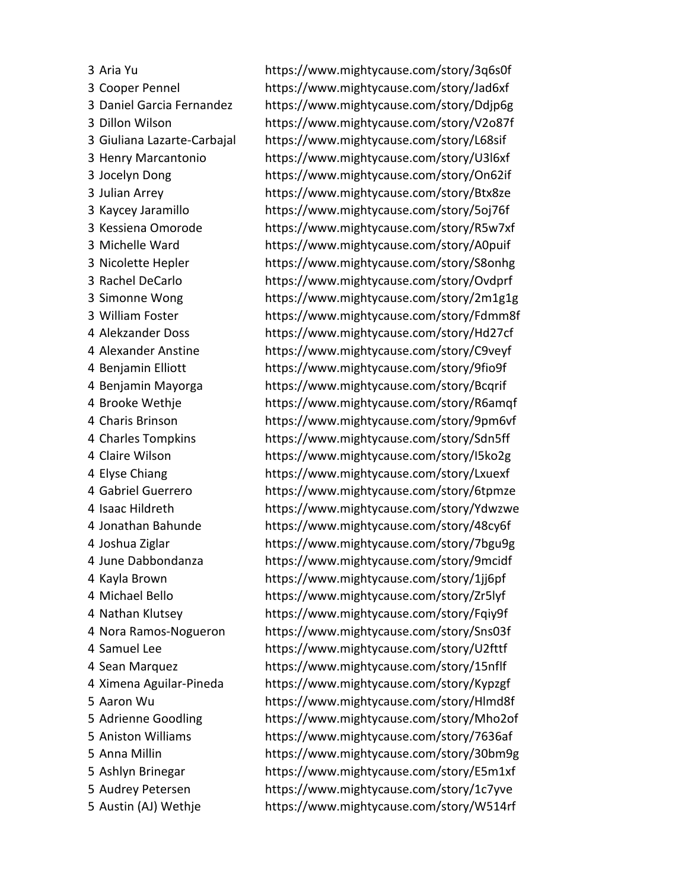Aria Yu https://www.mightycause.com/story/3q6s0f Cooper Pennel https://www.mightycause.com/story/Jad6xf Daniel Garcia Fernandez https://www.mightycause.com/story/Ddjp6g Dillon Wilson https://www.mightycause.com/story/V2o87f Giuliana Lazarte-Carbajal https://www.mightycause.com/story/L68sif Henry Marcantonio https://www.mightycause.com/story/U3l6xf Jocelyn Dong https://www.mightycause.com/story/On62if Julian Arrey https://www.mightycause.com/story/Btx8ze Kaycey Jaramillo https://www.mightycause.com/story/5oj76f Kessiena Omorode https://www.mightycause.com/story/R5w7xf Michelle Ward https://www.mightycause.com/story/A0puif Nicolette Hepler https://www.mightycause.com/story/S8onhg Rachel DeCarlo https://www.mightycause.com/story/Ovdprf Simonne Wong https://www.mightycause.com/story/2m1g1g William Foster https://www.mightycause.com/story/Fdmm8f Alekzander Doss https://www.mightycause.com/story/Hd27cf Alexander Anstine https://www.mightycause.com/story/C9veyf Benjamin Elliott https://www.mightycause.com/story/9fio9f Benjamin Mayorga https://www.mightycause.com/story/Bcqrif Brooke Wethje https://www.mightycause.com/story/R6amqf Charis Brinson https://www.mightycause.com/story/9pm6vf Charles Tompkins https://www.mightycause.com/story/Sdn5ff Claire Wilson https://www.mightycause.com/story/I5ko2g Elyse Chiang https://www.mightycause.com/story/Lxuexf Gabriel Guerrero https://www.mightycause.com/story/6tpmze Isaac Hildreth https://www.mightycause.com/story/Ydwzwe Jonathan Bahunde https://www.mightycause.com/story/48cy6f Joshua Ziglar https://www.mightycause.com/story/7bgu9g June Dabbondanza https://www.mightycause.com/story/9mcidf Kayla Brown https://www.mightycause.com/story/1jj6pf Michael Bello https://www.mightycause.com/story/Zr5lyf Nathan Klutsey https://www.mightycause.com/story/Fqiy9f Nora Ramos-Nogueron https://www.mightycause.com/story/Sns03f Samuel Lee https://www.mightycause.com/story/U2fttf Sean Marquez https://www.mightycause.com/story/15nflf Ximena Aguilar-Pineda https://www.mightycause.com/story/Kypzgf Aaron Wu https://www.mightycause.com/story/Hlmd8f Adrienne Goodling https://www.mightycause.com/story/Mho2of Aniston Williams https://www.mightycause.com/story/7636af Anna Millin https://www.mightycause.com/story/30bm9g Ashlyn Brinegar https://www.mightycause.com/story/E5m1xf Audrey Petersen https://www.mightycause.com/story/1c7yve Austin (AJ) Wethje https://www.mightycause.com/story/W514rf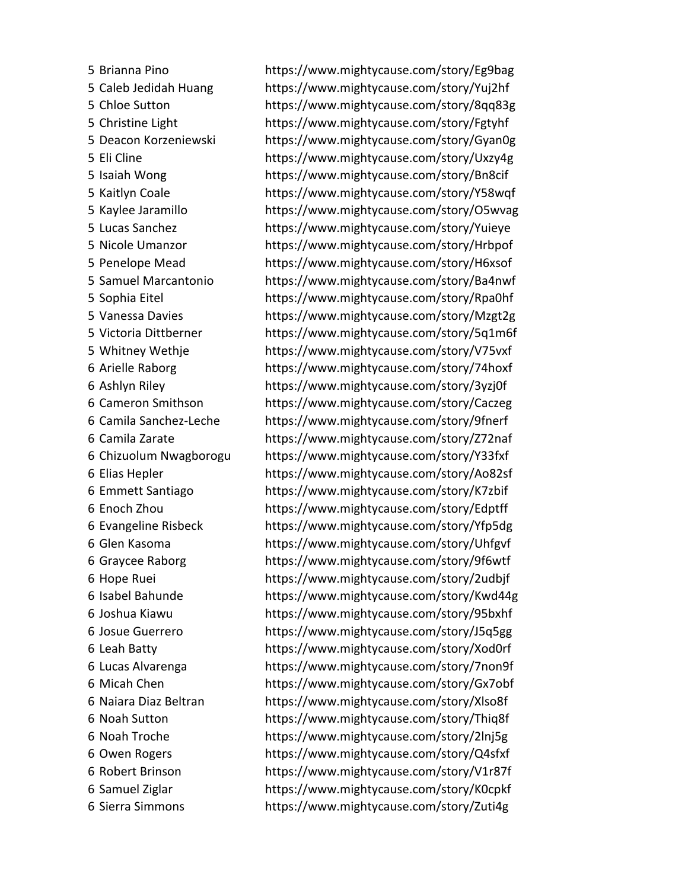Brianna Pino https://www.mightycause.com/story/Eg9bag Caleb Jedidah Huang https://www.mightycause.com/story/Yuj2hf Chloe Sutton https://www.mightycause.com/story/8qq83g Christine Light https://www.mightycause.com/story/Fgtyhf Deacon Korzeniewski https://www.mightycause.com/story/Gyan0g Eli Cline https://www.mightycause.com/story/Uxzy4g Isaiah Wong https://www.mightycause.com/story/Bn8cif Kaitlyn Coale https://www.mightycause.com/story/Y58wqf Kaylee Jaramillo https://www.mightycause.com/story/O5wvag Lucas Sanchez https://www.mightycause.com/story/Yuieye Nicole Umanzor https://www.mightycause.com/story/Hrbpof Penelope Mead https://www.mightycause.com/story/H6xsof Samuel Marcantonio https://www.mightycause.com/story/Ba4nwf Sophia Eitel https://www.mightycause.com/story/Rpa0hf Vanessa Davies https://www.mightycause.com/story/Mzgt2g Victoria Dittberner https://www.mightycause.com/story/5q1m6f Whitney Wethje https://www.mightycause.com/story/V75vxf Arielle Raborg https://www.mightycause.com/story/74hoxf Ashlyn Riley https://www.mightycause.com/story/3yzj0f Cameron Smithson https://www.mightycause.com/story/Caczeg Camila Sanchez-Leche https://www.mightycause.com/story/9fnerf Camila Zarate https://www.mightycause.com/story/Z72naf Chizuolum Nwagborogu https://www.mightycause.com/story/Y33fxf Elias Hepler https://www.mightycause.com/story/Ao82sf Emmett Santiago https://www.mightycause.com/story/K7zbif Enoch Zhou https://www.mightycause.com/story/Edptff Evangeline Risbeck https://www.mightycause.com/story/Yfp5dg Glen Kasoma https://www.mightycause.com/story/Uhfgvf Graycee Raborg https://www.mightycause.com/story/9f6wtf Hope Ruei https://www.mightycause.com/story/2udbjf Isabel Bahunde https://www.mightycause.com/story/Kwd44g Joshua Kiawu https://www.mightycause.com/story/95bxhf Josue Guerrero https://www.mightycause.com/story/J5q5gg Leah Batty https://www.mightycause.com/story/Xod0rf Lucas Alvarenga https://www.mightycause.com/story/7non9f Micah Chen https://www.mightycause.com/story/Gx7obf Naiara Diaz Beltran https://www.mightycause.com/story/Xlso8f Noah Sutton https://www.mightycause.com/story/Thiq8f Noah Troche https://www.mightycause.com/story/2lnj5g Owen Rogers https://www.mightycause.com/story/Q4sfxf Robert Brinson https://www.mightycause.com/story/V1r87f Samuel Ziglar https://www.mightycause.com/story/K0cpkf Sierra Simmons https://www.mightycause.com/story/Zuti4g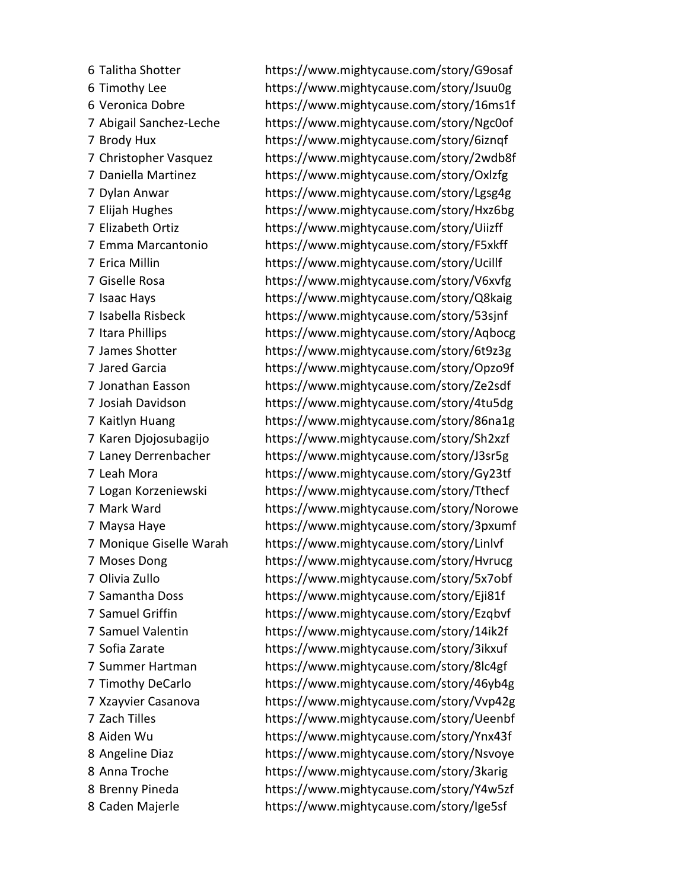Talitha Shotter https://www.mightycause.com/story/G9osaf Timothy Lee https://www.mightycause.com/story/Jsuu0g Veronica Dobre https://www.mightycause.com/story/16ms1f Abigail Sanchez-Leche https://www.mightycause.com/story/Ngc0of Brody Hux https://www.mightycause.com/story/6iznqf Christopher Vasquez https://www.mightycause.com/story/2wdb8f Daniella Martinez https://www.mightycause.com/story/Oxlzfg Dylan Anwar https://www.mightycause.com/story/Lgsg4g Elijah Hughes https://www.mightycause.com/story/Hxz6bg Elizabeth Ortiz https://www.mightycause.com/story/Uiizff Emma Marcantonio https://www.mightycause.com/story/F5xkff Erica Millin https://www.mightycause.com/story/Ucillf Giselle Rosa https://www.mightycause.com/story/V6xvfg Isaac Hays https://www.mightycause.com/story/Q8kaig Isabella Risbeck https://www.mightycause.com/story/53sjnf Itara Phillips https://www.mightycause.com/story/Aqbocg James Shotter https://www.mightycause.com/story/6t9z3g Jared Garcia https://www.mightycause.com/story/Opzo9f Jonathan Easson https://www.mightycause.com/story/Ze2sdf Josiah Davidson https://www.mightycause.com/story/4tu5dg Kaitlyn Huang https://www.mightycause.com/story/86na1g Karen Djojosubagijo https://www.mightycause.com/story/Sh2xzf Laney Derrenbacher https://www.mightycause.com/story/J3sr5g Leah Mora https://www.mightycause.com/story/Gy23tf Logan Korzeniewski https://www.mightycause.com/story/Tthecf Mark Ward https://www.mightycause.com/story/Norowe Maysa Haye https://www.mightycause.com/story/3pxumf Monique Giselle Warah https://www.mightycause.com/story/Linlvf Moses Dong https://www.mightycause.com/story/Hvrucg Olivia Zullo https://www.mightycause.com/story/5x7obf Samantha Doss https://www.mightycause.com/story/Eji81f Samuel Griffin https://www.mightycause.com/story/Ezqbvf Samuel Valentin https://www.mightycause.com/story/14ik2f Sofia Zarate https://www.mightycause.com/story/3ikxuf Summer Hartman https://www.mightycause.com/story/8lc4gf Timothy DeCarlo https://www.mightycause.com/story/46yb4g Xzayvier Casanova https://www.mightycause.com/story/Vvp42g Zach Tilles https://www.mightycause.com/story/Ueenbf Aiden Wu https://www.mightycause.com/story/Ynx43f Angeline Diaz https://www.mightycause.com/story/Nsvoye Anna Troche https://www.mightycause.com/story/3karig Brenny Pineda https://www.mightycause.com/story/Y4w5zf Caden Majerle https://www.mightycause.com/story/Ige5sf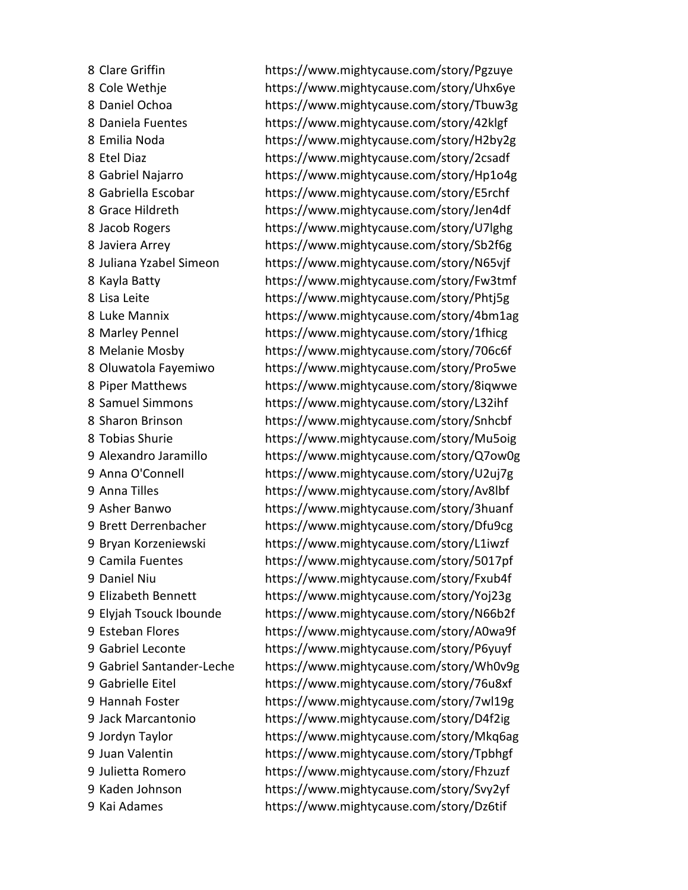Clare Griffin https://www.mightycause.com/story/Pgzuye Cole Wethje https://www.mightycause.com/story/Uhx6ye Daniel Ochoa https://www.mightycause.com/story/Tbuw3g Daniela Fuentes https://www.mightycause.com/story/42klgf Emilia Noda https://www.mightycause.com/story/H2by2g Etel Diaz https://www.mightycause.com/story/2csadf Gabriel Najarro https://www.mightycause.com/story/Hp1o4g Gabriella Escobar https://www.mightycause.com/story/E5rchf Grace Hildreth https://www.mightycause.com/story/Jen4df Jacob Rogers https://www.mightycause.com/story/U7lghg Javiera Arrey https://www.mightycause.com/story/Sb2f6g Juliana Yzabel Simeon https://www.mightycause.com/story/N65vjf Kayla Batty https://www.mightycause.com/story/Fw3tmf Lisa Leite https://www.mightycause.com/story/Phtj5g Luke Mannix https://www.mightycause.com/story/4bm1ag Marley Pennel https://www.mightycause.com/story/1fhicg Melanie Mosby https://www.mightycause.com/story/706c6f Oluwatola Fayemiwo https://www.mightycause.com/story/Pro5we Piper Matthews https://www.mightycause.com/story/8iqwwe Samuel Simmons https://www.mightycause.com/story/L32ihf Sharon Brinson https://www.mightycause.com/story/Snhcbf Tobias Shurie https://www.mightycause.com/story/Mu5oig Alexandro Jaramillo https://www.mightycause.com/story/Q7ow0g Anna O'Connell https://www.mightycause.com/story/U2uj7g Anna Tilles https://www.mightycause.com/story/Av8lbf Asher Banwo https://www.mightycause.com/story/3huanf Brett Derrenbacher https://www.mightycause.com/story/Dfu9cg Bryan Korzeniewski https://www.mightycause.com/story/L1iwzf Camila Fuentes https://www.mightycause.com/story/5017pf Daniel Niu https://www.mightycause.com/story/Fxub4f Elizabeth Bennett https://www.mightycause.com/story/Yoj23g Elyjah Tsouck Ibounde https://www.mightycause.com/story/N66b2f Esteban Flores https://www.mightycause.com/story/A0wa9f Gabriel Leconte https://www.mightycause.com/story/P6yuyf Gabriel Santander-Leche https://www.mightycause.com/story/Wh0v9g Gabrielle Eitel https://www.mightycause.com/story/76u8xf Hannah Foster https://www.mightycause.com/story/7wl19g Jack Marcantonio https://www.mightycause.com/story/D4f2ig Jordyn Taylor https://www.mightycause.com/story/Mkq6ag Juan Valentin https://www.mightycause.com/story/Tpbhgf Julietta Romero https://www.mightycause.com/story/Fhzuzf Kaden Johnson https://www.mightycause.com/story/Svy2yf Kai Adames https://www.mightycause.com/story/Dz6tif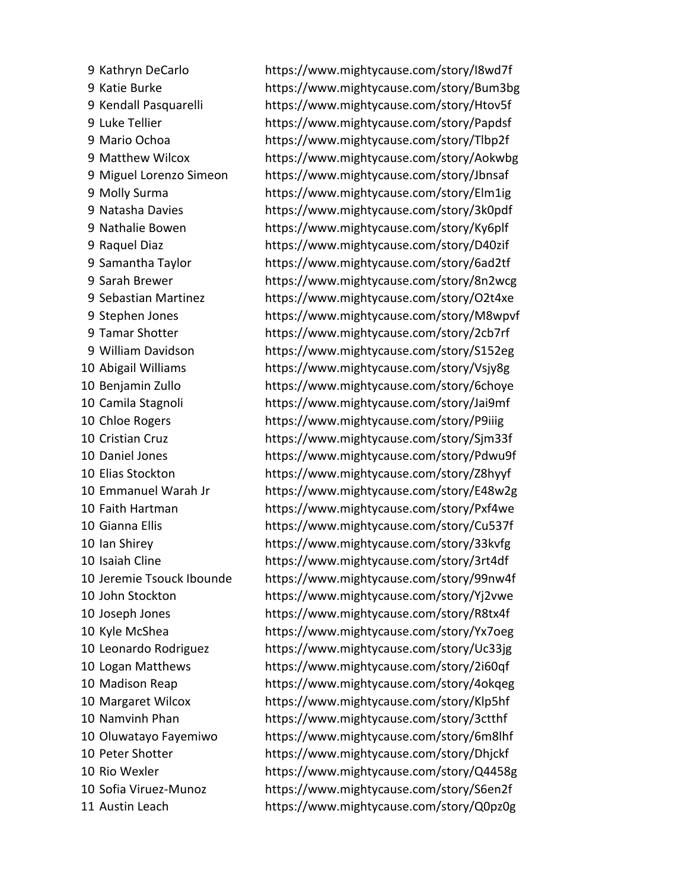Kathryn DeCarlo https://www.mightycause.com/story/I8wd7f Katie Burke https://www.mightycause.com/story/Bum3bg Kendall Pasquarelli https://www.mightycause.com/story/Htov5f Luke Tellier https://www.mightycause.com/story/Papdsf Mario Ochoa https://www.mightycause.com/story/Tlbp2f Matthew Wilcox https://www.mightycause.com/story/Aokwbg Miguel Lorenzo Simeon https://www.mightycause.com/story/Jbnsaf Molly Surma https://www.mightycause.com/story/Elm1ig Natasha Davies https://www.mightycause.com/story/3k0pdf Nathalie Bowen https://www.mightycause.com/story/Ky6plf Raquel Diaz https://www.mightycause.com/story/D40zif Samantha Taylor https://www.mightycause.com/story/6ad2tf Sarah Brewer https://www.mightycause.com/story/8n2wcg Sebastian Martinez https://www.mightycause.com/story/O2t4xe Stephen Jones https://www.mightycause.com/story/M8wpvf Tamar Shotter https://www.mightycause.com/story/2cb7rf William Davidson https://www.mightycause.com/story/S152eg Abigail Williams https://www.mightycause.com/story/Vsjy8g Benjamin Zullo https://www.mightycause.com/story/6choye Camila Stagnoli https://www.mightycause.com/story/Jai9mf Chloe Rogers https://www.mightycause.com/story/P9iiig Cristian Cruz https://www.mightycause.com/story/Sjm33f Daniel Jones https://www.mightycause.com/story/Pdwu9f Elias Stockton https://www.mightycause.com/story/Z8hyyf Emmanuel Warah Jr https://www.mightycause.com/story/E48w2g Faith Hartman https://www.mightycause.com/story/Pxf4we Gianna Ellis https://www.mightycause.com/story/Cu537f Ian Shirey https://www.mightycause.com/story/33kvfg Isaiah Cline https://www.mightycause.com/story/3rt4df Jeremie Tsouck Ibounde https://www.mightycause.com/story/99nw4f John Stockton https://www.mightycause.com/story/Yj2vwe Joseph Jones https://www.mightycause.com/story/R8tx4f Kyle McShea https://www.mightycause.com/story/Yx7oeg Leonardo Rodriguez https://www.mightycause.com/story/Uc33jg Logan Matthews https://www.mightycause.com/story/2i60qf Madison Reap https://www.mightycause.com/story/4okqeg Margaret Wilcox https://www.mightycause.com/story/Klp5hf Namvinh Phan https://www.mightycause.com/story/3ctthf Oluwatayo Fayemiwo https://www.mightycause.com/story/6m8lhf Peter Shotter https://www.mightycause.com/story/Dhjckf Rio Wexler https://www.mightycause.com/story/Q4458g Sofia Viruez-Munoz https://www.mightycause.com/story/S6en2f Austin Leach https://www.mightycause.com/story/Q0pz0g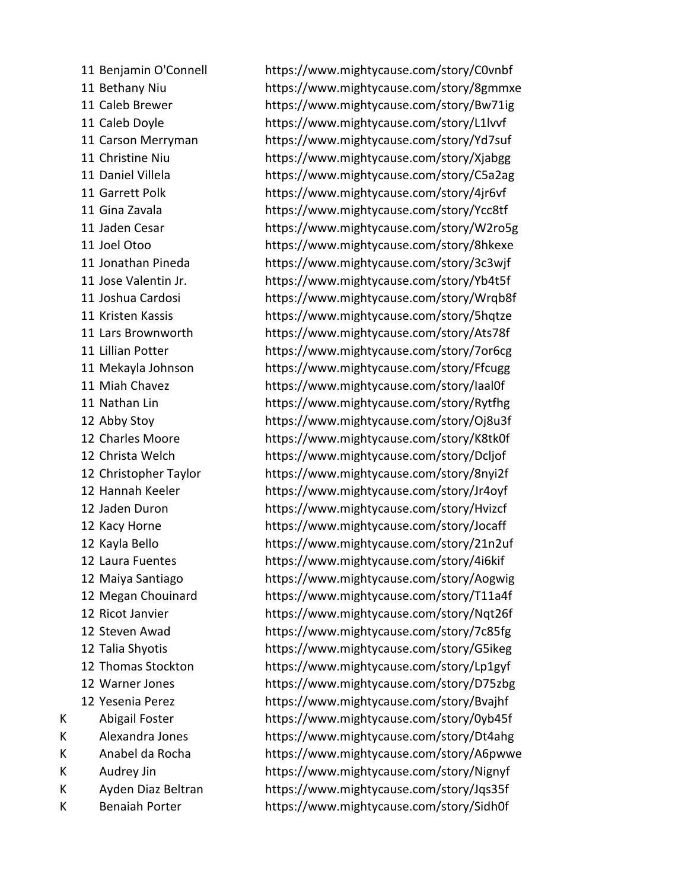Benjamin O'Connell https://www.mightycause.com/story/C0vnbf Bethany Niu https://www.mightycause.com/story/8gmmxe Caleb Brewer https://www.mightycause.com/story/Bw71ig Caleb Doyle https://www.mightycause.com/story/L1lvvf Carson Merryman https://www.mightycause.com/story/Yd7suf Christine Niu https://www.mightycause.com/story/Xjabgg Daniel Villela https://www.mightycause.com/story/C5a2ag Garrett Polk https://www.mightycause.com/story/4jr6vf Gina Zavala https://www.mightycause.com/story/Ycc8tf Jaden Cesar https://www.mightycause.com/story/W2ro5g Joel Otoo https://www.mightycause.com/story/8hkexe Jonathan Pineda https://www.mightycause.com/story/3c3wjf Jose Valentin Jr. https://www.mightycause.com/story/Yb4t5f Joshua Cardosi https://www.mightycause.com/story/Wrqb8f Kristen Kassis https://www.mightycause.com/story/5hqtze Lars Brownworth https://www.mightycause.com/story/Ats78f Lillian Potter https://www.mightycause.com/story/7or6cg Mekayla Johnson https://www.mightycause.com/story/Ffcugg Miah Chavez https://www.mightycause.com/story/Iaal0f Nathan Lin https://www.mightycause.com/story/Rytfhg Abby Stoy https://www.mightycause.com/story/Oj8u3f Charles Moore https://www.mightycause.com/story/K8tk0f Christa Welch https://www.mightycause.com/story/Dcljof Christopher Taylor https://www.mightycause.com/story/8nyi2f Hannah Keeler https://www.mightycause.com/story/Jr4oyf Jaden Duron https://www.mightycause.com/story/Hvizcf Kacy Horne https://www.mightycause.com/story/Jocaff Kayla Bello https://www.mightycause.com/story/21n2uf Laura Fuentes https://www.mightycause.com/story/4i6kif Maiya Santiago https://www.mightycause.com/story/Aogwig Megan Chouinard https://www.mightycause.com/story/T11a4f Ricot Janvier https://www.mightycause.com/story/Nqt26f Steven Awad https://www.mightycause.com/story/7c85fg Talia Shyotis https://www.mightycause.com/story/G5ikeg Thomas Stockton https://www.mightycause.com/story/Lp1gyf Warner Jones https://www.mightycause.com/story/D75zbg Yesenia Perez https://www.mightycause.com/story/Bvajhf K Abigail Foster https://www.mightycause.com/story/0yb45f K Alexandra Jones https://www.mightycause.com/story/Dt4ahg K Anabel da Rocha https://www.mightycause.com/story/A6pwwe K Audrey Jin https://www.mightycause.com/story/Nignyf K Ayden Diaz Beltran https://www.mightycause.com/story/Jqs35f K Benaiah Porter https://www.mightycause.com/story/Sidh0f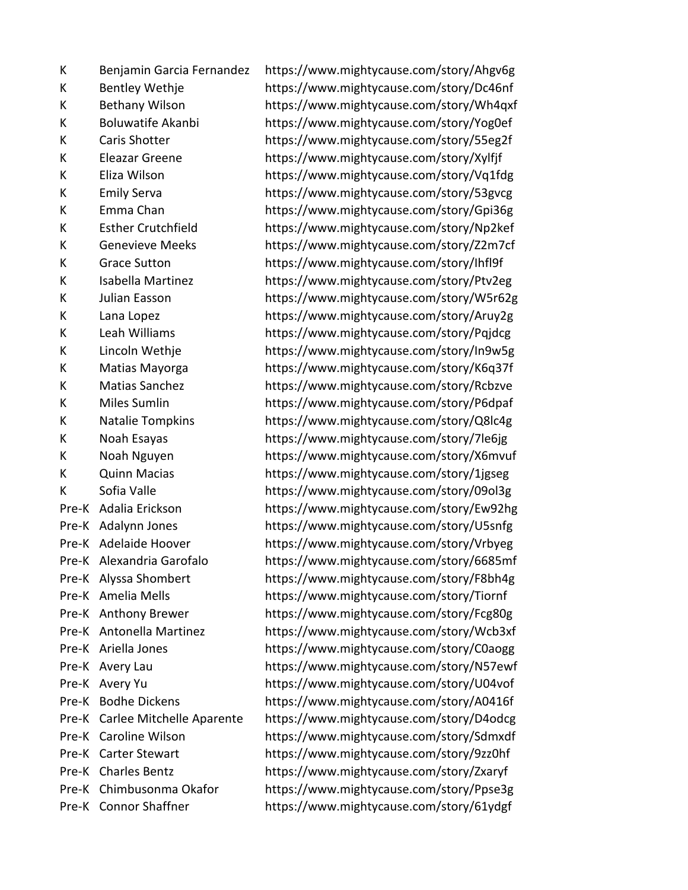K Benjamin Garcia Fernandez https://www.mightycause.com/story/Ahgv6g K Eleazar Greene https://www.mightycause.com/story/Xylfjf K Grace Sutton https://www.mightycause.com/story/Ihfl9f K Noah Esayas https://www.mightycause.com/story/7le6jg

K Bentley Wethje https://www.mightycause.com/story/Dc46nf K Bethany Wilson https://www.mightycause.com/story/Wh4qxf K Boluwatife Akanbi https://www.mightycause.com/story/Yog0ef K Caris Shotter https://www.mightycause.com/story/55eg2f K Eliza Wilson https://www.mightycause.com/story/Vq1fdg K Emily Serva https://www.mightycause.com/story/53gvcg K Emma Chan https://www.mightycause.com/story/Gpi36g K Esther Crutchfield https://www.mightycause.com/story/Np2kef K Genevieve Meeks https://www.mightycause.com/story/Z2m7cf K Isabella Martinez https://www.mightycause.com/story/Ptv2eg K Julian Easson https://www.mightycause.com/story/W5r62g K Lana Lopez https://www.mightycause.com/story/Aruy2g K Leah Williams https://www.mightycause.com/story/Pqjdcg K Lincoln Wethje https://www.mightycause.com/story/In9w5g K Matias Mayorga https://www.mightycause.com/story/K6q37f K Matias Sanchez https://www.mightycause.com/story/Rcbzve K Miles Sumlin https://www.mightycause.com/story/P6dpaf K Natalie Tompkins https://www.mightycause.com/story/Q8lc4g K Noah Nguyen https://www.mightycause.com/story/X6mvuf K Quinn Macias https://www.mightycause.com/story/1jgseg K Sofia Valle https://www.mightycause.com/story/09ol3g Pre-K Adalia Erickson https://www.mightycause.com/story/Ew92hg Pre-K Adalynn Jones https://www.mightycause.com/story/U5snfg Pre-K Adelaide Hoover https://www.mightycause.com/story/Vrbyeg Pre-K Alexandria Garofalo https://www.mightycause.com/story/6685mf Pre-K Alyssa Shombert https://www.mightycause.com/story/F8bh4g Pre-K Amelia Mells https://www.mightycause.com/story/Tiornf Pre-K Anthony Brewer https://www.mightycause.com/story/Fcg80g Pre-K Antonella Martinez https://www.mightycause.com/story/Wcb3xf Pre-K Ariella Jones https://www.mightycause.com/story/C0aogg Pre-K Avery Lau https://www.mightycause.com/story/N57ewf Pre-K Avery Yu https://www.mightycause.com/story/U04vof Pre-K Bodhe Dickens https://www.mightycause.com/story/A0416f Pre-K Carlee Mitchelle Aparente https://www.mightycause.com/story/D4odcg Pre-K Caroline Wilson https://www.mightycause.com/story/Sdmxdf Pre-K Carter Stewart https://www.mightycause.com/story/9zz0hf Pre-K Charles Bentz https://www.mightycause.com/story/Zxaryf Pre-K Chimbusonma Okafor https://www.mightycause.com/story/Ppse3g Pre-K Connor Shaffner https://www.mightycause.com/story/61ydgf